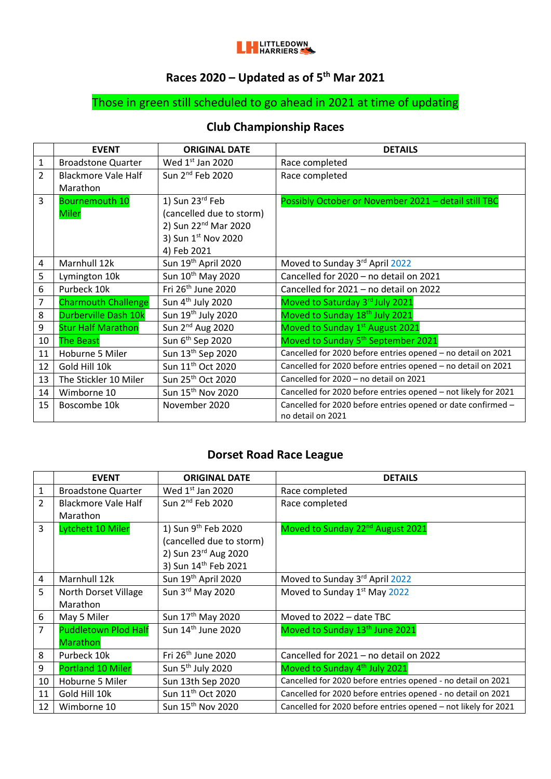

#### **Races 2020 – Updated as of 5 th Mar 2021**

# Those in green still scheduled to go ahead in 2021 at time of updating

### **Club Championship Races**

|                | <b>EVENT</b>                | <b>ORIGINAL DATE</b>             | <b>DETAILS</b>                                                                    |
|----------------|-----------------------------|----------------------------------|-----------------------------------------------------------------------------------|
| 1              | <b>Broadstone Quarter</b>   | Wed $1st$ Jan 2020               | Race completed                                                                    |
| $\overline{2}$ | <b>Blackmore Vale Half</b>  | Sun 2 <sup>nd</sup> Feb 2020     | Race completed                                                                    |
|                | Marathon                    |                                  |                                                                                   |
| 3              | <b>Bournemouth 10</b>       | 1) Sun 23rd Feb                  | Possibly October or November 2021 - detail still TBC                              |
|                | <b>Miler</b>                | (cancelled due to storm)         |                                                                                   |
|                |                             | 2) Sun 22 <sup>nd</sup> Mar 2020 |                                                                                   |
|                |                             | 3) Sun 1st Nov 2020              |                                                                                   |
|                |                             | 4) Feb 2021                      |                                                                                   |
| 4              | Marnhull 12k                | Sun 19 <sup>th</sup> April 2020  | Moved to Sunday 3rd April 2022                                                    |
| 5              | Lymington 10k               | Sun 10th May 2020                | Cancelled for 2020 - no detail on 2021                                            |
| 6              | Purbeck 10k                 | Fri 26 <sup>th</sup> June 2020   | Cancelled for 2021 - no detail on 2022                                            |
| 7              | <b>Charmouth Challenge</b>  | Sun 4 <sup>th</sup> July 2020    | Moved to Saturday 3rd July 2021                                                   |
| 8              | <b>Durberville Dash 10k</b> | Sun 19 <sup>th</sup> July 2020   | Moved to Sunday 18 <sup>th</sup> July 2021                                        |
| 9              | <b>Stur Half Marathon</b>   | Sun $2^{nd}$ Aug 2020            | Moved to Sunday 1st August 2021                                                   |
| 10             | <b>The Beast</b>            | Sun 6 <sup>th</sup> Sep 2020     | Moved to Sunday 5 <sup>th</sup> September 2021                                    |
| 11             | Hoburne 5 Miler             | Sun 13 <sup>th</sup> Sep 2020    | Cancelled for 2020 before entries opened - no detail on 2021                      |
| 12             | Gold Hill 10k               | Sun 11 <sup>th</sup> Oct 2020    | Cancelled for 2020 before entries opened - no detail on 2021                      |
| 13             | The Stickler 10 Miler       | Sun 25 <sup>th</sup> Oct 2020    | Cancelled for 2020 - no detail on 2021                                            |
| 14             | Wimborne 10                 | Sun 15 <sup>th</sup> Nov 2020    | Cancelled for 2020 before entries opened - not likely for 2021                    |
| 15             | Boscombe 10k                | November 2020                    | Cancelled for 2020 before entries opened or date confirmed -<br>no detail on 2021 |

## **Dorset Road Race League**

|                | <b>EVENT</b>                | <b>ORIGINAL DATE</b>            | <b>DETAILS</b>                                                 |
|----------------|-----------------------------|---------------------------------|----------------------------------------------------------------|
| $\mathbf{1}$   | <b>Broadstone Quarter</b>   | Wed $1st$ Jan 2020              | Race completed                                                 |
| $\overline{2}$ | Blackmore Vale Half         | Sun 2 <sup>nd</sup> Feb 2020    | Race completed                                                 |
|                | Marathon                    |                                 |                                                                |
| 3              | Lytchett 10 Miler           | 1) Sun 9 <sup>th</sup> Feb 2020 | Moved to Sunday 22 <sup>nd</sup> August 2021                   |
|                |                             | (cancelled due to storm)        |                                                                |
|                |                             | 2) Sun 23rd Aug 2020            |                                                                |
|                |                             | 3) Sun 14th Feb 2021            |                                                                |
| $\overline{4}$ | Marnhull 12k                | Sun 19th April 2020             | Moved to Sunday 3rd April 2022                                 |
| 5              | North Dorset Village        | Sun 3rd May 2020                | Moved to Sunday 1 <sup>st</sup> May 2022                       |
|                | Marathon                    |                                 |                                                                |
| 6              | May 5 Miler                 | Sun 17 <sup>th</sup> May 2020   | Moved to 2022 - date TBC                                       |
| 7              | <b>Puddletown Plod Half</b> | Sun $14th$ June 2020            | Moved to Sunday 13 <sup>th</sup> June 2021                     |
|                | <b>Marathon</b>             |                                 |                                                                |
| 8              | Purbeck 10k                 | Fri 26 <sup>th</sup> June 2020  | Cancelled for 2021 - no detail on 2022                         |
| 9              | <b>Portland 10 Miler</b>    | Sun 5 <sup>th</sup> July 2020   | Moved to Sunday 4 <sup>th</sup> July 2021                      |
| 10             | Hoburne 5 Miler             | Sun 13th Sep 2020               | Cancelled for 2020 before entries opened - no detail on 2021   |
| 11             | Gold Hill 10k               | Sun 11 <sup>th</sup> Oct 2020   | Cancelled for 2020 before entries opened - no detail on 2021   |
| 12             | Wimborne 10                 | Sun 15 <sup>th</sup> Nov 2020   | Cancelled for 2020 before entries opened - not likely for 2021 |